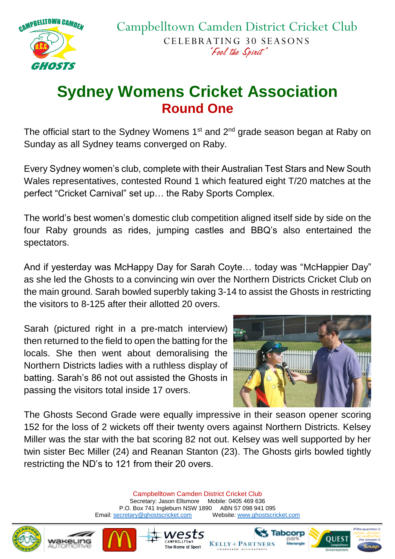

## **Sydney Womens Cricket Association Round One**

The official start to the Sydney Womens  $1<sup>st</sup>$  and  $2<sup>nd</sup>$  grade season began at Raby on Sunday as all Sydney teams converged on Raby.

Every Sydney women's club, complete with their Australian Test Stars and New South Wales representatives, contested Round 1 which featured eight T/20 matches at the perfect "Cricket Carnival" set up… the Raby Sports Complex.

The world's best women's domestic club competition aligned itself side by side on the four Raby grounds as rides, jumping castles and BBQ's also entertained the spectators.

And if yesterday was McHappy Day for Sarah Coyte… today was "McHappier Day" as she led the Ghosts to a convincing win over the Northern Districts Cricket Club on the main ground. Sarah bowled superbly taking 3-14 to assist the Ghosts in restricting the visitors to 8-125 after their allotted 20 overs.

Sarah (pictured right in a pre-match interview) then returned to the field to open the batting for the locals. She then went about demoralising the Northern Districts ladies with a ruthless display of batting. Sarah's 86 not out assisted the Ghosts in passing the visitors total inside 17 overs.



The Ghosts Second Grade were equally impressive in their season opener scoring 152 for the loss of 2 wickets off their twenty overs against Northern Districts. Kelsey Miller was the star with the bat scoring 82 not out. Kelsey was well supported by her twin sister Bec Miller (24) and Reanan Stanton (23). The Ghosts girls bowled tightly restricting the ND's to 121 from their 20 overs.

> Campbelltown Camden District Cricket Club Secretary: Jason Ellsmore Mobile: 0405 469 636 P.O. Box 741 Ingleburn NSW 1890 ABN 57 098 941 095 Email[: secretary@ghostscricket.com](mailto:secretary@ghostscricket.com) Website[: www.ghostscricket.com](http://www.ghostscricket.com/)